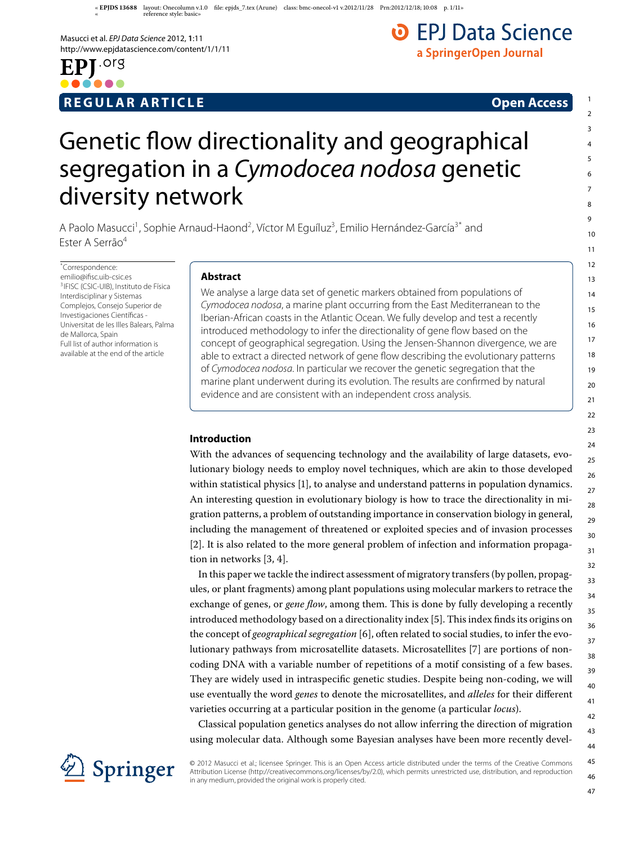Masucci et al. EPJ Data Science 2012, **1**:11 <http://www.epjdatascience.com/content/1/1/11>



## **D** EPJ Data Science a SpringerOpen Journal

1  $\overline{2}$ 

# <span id="page-0-0"></span>Genetic flow directionality and geographical segregation in a Cymodocea nodosa genetic diversity network

A Paolo Masucci<sup>[1](#page-9-0)</sup>, Sophie Arnaud-Haond<sup>[2](#page-9-1)</sup>, Víctor M Eguíluz<sup>3</sup>, Emilio Hernández-García<sup>3[\\*](#page-0-0)</sup> and Ester A Serrão<sup>[4](#page-9-3)</sup>

\* Correspondence: [emilio@ifisc.uib-csic.es](mailto:emilio@ifisc.uib-csic.es) 3IFISC (CSIC-UIB), Instituto de Física Interdisciplinar y Sistemas Complejos, Consejo Superior de Investigaciones Científicas - Universitat de les Illes Balears, Palma de Mallorca, Spain Full list of author information is available at the end of the article

### **Abstract**

We analyse a large data set of genetic markers obtained from populations of Cymodocea nodosa, a marine plant occurring from the East Mediterranean to the Iberian-African coasts in the Atlantic Ocean. We fully develop and test a recently introduced methodology to infer the directionality of gene flow based on the concept of geographical segregation. Using the Jensen-Shannon divergence, we are able to extract a directed network of gene flow describing the evolutionary patterns of Cymodocea nodosa. In particular we recover the genetic segregation that the marine plant underwent during its evolution. The results are confirmed by natural evidence and are consistent with an independent cross analysis.

### **Introduction**

With the advances of sequencing technology and the availability of large datasets, evolutionary biology needs to employ novel techniques, which are akin to those developed within statistical physics [], to analyse and understand patterns in population dynamics. An interesting question in evolutionary biology is how to trace the directionality in migration patterns, a problem of outstanding importance in conservation biology in general, including the management of threatened or exploited species and of invasion processes [2[\]](#page-10-1). It is also related to the more general problem of infection and information propagation in networks  $[3, 4]$  $[3, 4]$  $[3, 4]$ .

In this paper we tackle the indirect assessment of migratory transfers (by pollen, propagules, or plant fragments) among plant populations using molecular markers to retrace the exchange of genes, or *gene flow*, among them. This is done by fully developing a recently introduced methodology based on a directionality index [5[\]](#page-10-4). This index finds its origins on the concept of *geographical segregation* [6], often related to social studies, to infer the evo-lutionary pathways from microsatellite datasets. Microsatellites [7[\]](#page-10-6) are portions of noncoding DNA with a variable number of repetitions of a motif consisting of a few bases. They are widely used in intraspecific genetic studies. Despite being non-coding, we will use eventually the word *genes* to denote the microsatellites, and *alleles* for their different varieties occurring at a particular position in the genome (a particular *locus*).

Classical population genetics analyses do not allow inferring the direction of migration using molecular data. Although some Bayesian analyses have been more recently devel-



© 2012 Masucci et al.; licensee Springer. This is an Open Access article distributed under the terms of the Creative Commons Attribution License [\(http://creativecommons.org/licenses/by/2.0](http://creativecommons.org/licenses/by/2.0)), which permits unrestricted use, distribution, and reproduction in any medium, provided the original work is properly cited.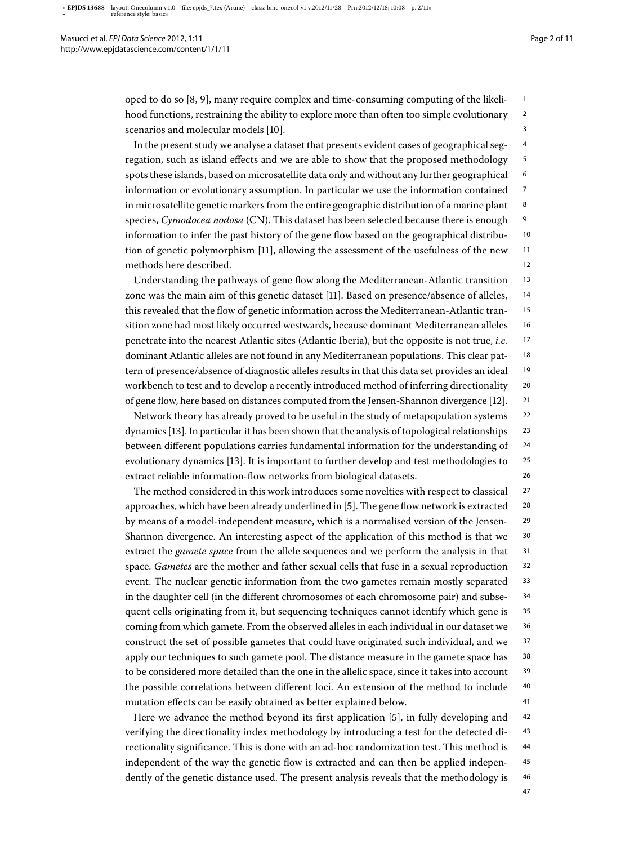1 2 3 oped to do so  $[8, 9]$  $[8, 9]$ , many require complex and time-consuming computing of the likelihood functions, restraining the ability to explore more than often too simple evolutionary scenarios and molecular models [10].

4 5 6 7 8 9 10 11 In the present study we analyse a dataset that presents evident cases of geographical segregation, such as island effects and we are able to show that the proposed methodology spots these islands, based on microsatellite data only and without any further geographical information or evolutionary assumption. In particular we use the information contained in microsatellite genetic markers from the entire geographic distribution of a marine plant species, *Cymodocea nodosa* (CN). This dataset has been selected because there is enough information to infer the past history of the gene flow based on the geographical distribution of genetic polymorphism [11], allowing the assessment of the usefulness of the new methods here described.

13 14 15 16 17 18 19 20 21 Understanding the pathways of gene flow along the Mediterranean-Atlantic transition zone was the main aim of this genetic dataset [\[](#page-10-10)11]. Based on presence/absence of alleles, this revealed that the flow of genetic information across the Mediterranean-Atlantic transition zone had most likely occurred westwards, because dominant Mediterranean alleles penetrate into the nearest Atlantic sites (Atlantic Iberia), but the opposite is not true, *i.e.* dominant Atlantic alleles are not found in any Mediterranean populations. This clear pattern of presence/absence of diagnostic alleles results in that this data set provides an ideal workbench to test and to develop a recently introduced method of inferring directionality of gene flow, here based on distances computed from the Jensen-Shannon divergence [12[\]](#page-10-11).

22 23 24 25 26 Network theory has already proved to be useful in the study of metapopulation systems dynamics [\[](#page-10-12)]. In particular it has been shown that the analysis of topological relationships between different populations carries fundamental information for the understanding of evolutionary dynamics [\[](#page-10-12)13]. It is important to further develop and test methodologies to extract reliable information-flow networks from biological datasets.

27 28 29 30 31 32 33 34 35 36 37 38 39 40 41 The method considered in this work introduces some novelties with respect to classical approaches, which have been already underlined in  $[5]$ . The gene flow network is extracted by means of a model-independent measure, which is a normalised version of the Jensen-Shannon divergence. An interesting aspect of the application of this method is that we extract the *gamete space* from the allele sequences and we perform the analysis in that space. *Gametes* are the mother and father sexual cells that fuse in a sexual reproduction event. The nuclear genetic information from the two gametes remain mostly separated in the daughter cell (in the different chromosomes of each chromosome pair) and subsequent cells originating from it, but sequencing techniques cannot identify which gene is coming from which gamete. From the observed alleles in each individual in our dataset we construct the set of possible gametes that could have originated such individual, and we apply our techniques to such gamete pool. The distance measure in the gamete space has to be considered more detailed than the one in the allelic space, since it takes into account the possible correlations between different loci. An extension of the method to include mutation effects can be easily obtained as better explained below.

42 43 44 45 46 Here we advance the method beyond its first application [\[](#page-10-4)5], in fully developing and verifying the directionality index methodology by introducing a test for the detected directionality significance. This is done with an ad-hoc randomization test. This method is independent of the way the genetic flow is extracted and can then be applied independently of the genetic distance used. The present analysis reveals that the methodology is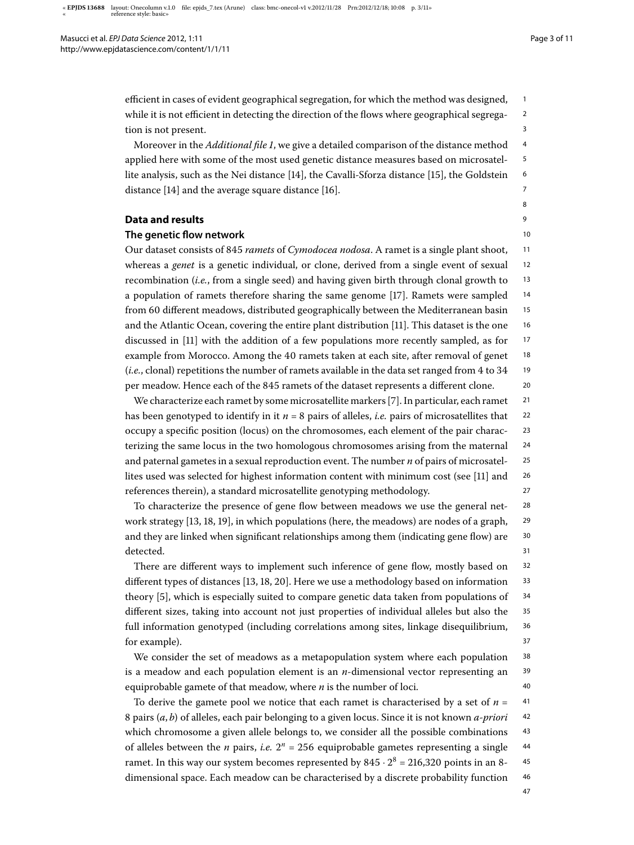2 efficient in cases of evident geographical segregation, for which the method was designed, while it is not efficient in detecting the direction of the flows where geographical segregation is not present.

Moreover in the *Additional file 1*, we give a detailed comparison of the distance method applied here with some of the most used genetic distance measures based on microsatel-lite analysis, such as the Nei distance [14[\]](#page-10-14), the Cavalli-Sforza distance [15], the Goldstein distance  $[14]$  $[14]$  and the average square distance  $[16]$  $[16]$ .

#### **Data and results**

#### **The genetic flow network**

11 12 13 14 15 16 17 18 19 20 Our dataset consists of *ramets* of *Cymodocea nodosa*. A ramet is a single plant shoot, whereas a *genet* is a genetic individual, or clone, derived from a single event of sexual recombination (*i.e.*, from a single seed) and having given birth through clonal growth to a population of ramets therefore sharing the same genome [17]. Ramets were sampled from 60 different meadows, distributed geographically between the Mediterranean basin and the Atlantic Ocean, covering the entire plant distribution [11]. This dataset is the one discussed in  $[11]$  $[11]$  with the addition of a few populations more recently sampled, as for example from Morocco. Among the 40 ramets taken at each site, after removal of genet  $(i.e.,$  clonal) repetitions the number of ramets available in the data set ranged from  $4$  to  $34$ per meadow. Hence each of the 845 ramets of the dataset represents a different clone.

21 22 23 24 25 26 27 We characterize each ramet by some microsatellite markers [\[](#page-10-6)7]. In particular, each ramet has been genotyped to identify in it  $n = 8$  pairs of alleles, *i.e.* pairs of microsatellites that occupy a specific position (locus) on the chromosomes, each element of the pair characterizing the same locus in the two homologous chromosomes arising from the maternal and paternal gametes in a sexual reproduction event. The number *n* of pairs of microsatel-lites used was selected for highest information content with minimum cost (see [\[](#page-10-10)11] and references therein), a standard microsatellite genotyping methodology.

28 29 30 31 To characterize the presence of gene flow between meadows we use the general net-work strategy [13, 18, 19[\]](#page-10-18), in which populations (here, the meadows) are nodes of a graph, and they are linked when significant relationships among them (indicating gene flow) are detected.

32 33 34 35 36 37 There are different ways to implement such inference of gene flow, mostly based on different types of distances [\[](#page-10-12)13[,](#page-10-17) 18, 20]. Here we use a methodology based on information theory [\[](#page-10-4)], which is especially suited to compare genetic data taken from populations of different sizes, taking into account not just properties of individual alleles but also the full information genotyped (including correlations among sites, linkage disequilibrium, for example).

We consider the set of meadows as a metapopulation system where each population is a meadow and each population element is an *n*-dimensional vector representing an equiprobable gamete of that meadow, where *n* is the number of loci.

41 42 43 44 45 46 To derive the gamete pool we notice that each ramet is characterised by a set of  $n =$  pairs (*a*, *b*) of alleles, each pair belonging to a given locus. Since it is not known *a-priori* which chromosome a given allele belongs to, we consider all the possible combinations of alleles between the *n* pairs, *i.e.*  $2^n = 256$  equiprobable gametes representing a single ramet. In this way our system becomes represented by  $845 \cdot 2^8 = 216,320$  points in an 8dimensional space. Each meadow can be characterised by a discrete probability function

47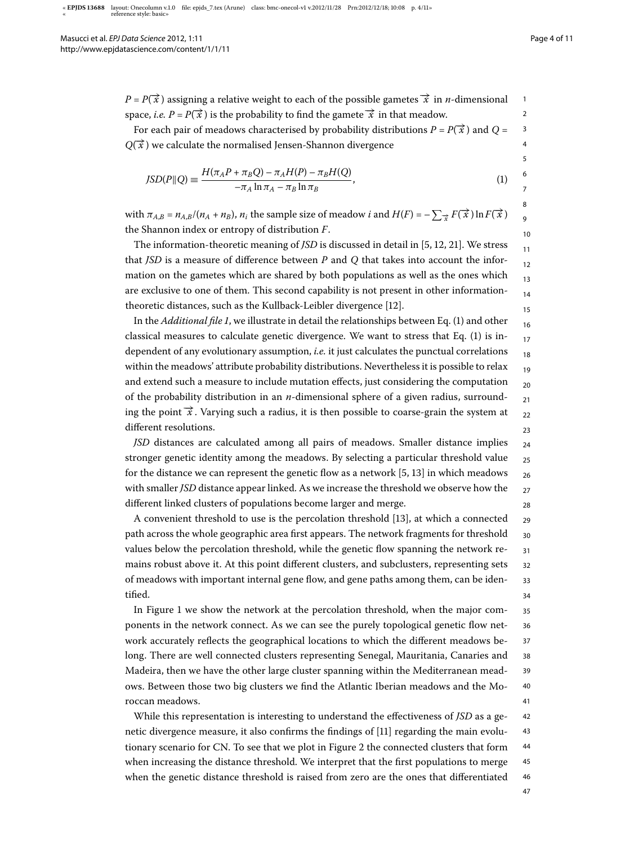1  $\overline{2}$  $P = P(\overrightarrow{x})$  assigning a relative weight to each of the possible gametes  $\overrightarrow{x}$  in *n-*dimensional space, *i.e. P* =  $P(\overrightarrow{x})$  is the probability to find the gamete  $\overrightarrow{x}$  in that meadow.

For each pair of meadows characterised by probability distributions  $P = P(\overrightarrow{x})$  and  $Q =$  $Q(\overrightarrow{x})$  we calculate the normalised Jensen-Shannon divergence

<span id="page-3-0"></span>
$$
JSD(P||Q) \equiv \frac{H(\pi_A P + \pi_B Q) - \pi_A H(P) - \pi_B H(Q)}{-\pi_A \ln \pi_A - \pi_B \ln \pi_B},
$$
\n(1)

with  $\pi_{A,B} = n_{A,B}/(n_A + n_B)$ ,  $n_i$  the sample size of meadow *i* and  $H(F) = -\sum_{\vec{x}} F(\vec{x}) \ln F(\vec{x})$ the Shannon index or entropy of distribution *F*.

The information-theoretic meaning of *JSD* is discussed in detail in [5[,](#page-10-4) 12, 21[\]](#page-10-20). We stress that *JSD* is a measure of difference between *P* and *Q* that takes into account the information on the gametes which are shared by both populations as well as the ones which are exclusive to one of them. This second capability is not present in other information-theoretic distances, such as the Kullback-Leibler divergence [\[](#page-10-11)12].

16 17 18 19 20 21 22 23 In the *Additional file* , we illustrate in detail the relationships between Eq. () and other classical measures to calculate genetic divergence. We want to stress that Eq.  $(1)$  $(1)$  is independent of any evolutionary assumption, *i.e.* it just calculates the punctual correlations within the meadows' attribute probability distributions. Nevertheless it is possible to relax and extend such a measure to include mutation effects, just considering the computation of the probability distribution in an *n*-dimensional sphere of a given radius, surrounding the point  $\overrightarrow{x}$  . Varying such a radius, it is then possible to coarse-grain the system at different resolutions.

24  $25$ 26 27 28 *JSD* distances are calculated among all pairs of meadows. Smaller distance implies stronger genetic identity among the meadows. By selecting a particular threshold value for the distance we can represent the genetic flow as a network  $[5, 13]$  in which meadows with smaller *JSD* distance appear linked. As we increase the threshold we observe how the different linked clusters of populations become larger and merge.

29 30 31 32 33 34 A convenient threshold to use is the percolation threshold [13], at which a connected path across the whole geographic area first appears. The network fragments for threshold values below the percolation threshold, while the genetic flow spanning the network remains robust above it. At this point different clusters, and subclusters, representing sets of meadows with important internal gene flow, and gene paths among them, can be identified.

35 36 37 38 39 40 41 In Figure 1 we show the network at the percolation threshold, when the major components in the network connect. As we can see the purely topological genetic flow network accurately reflects the geographical locations to which the different meadows belong. There are well connected clusters representing Senegal, Mauritania, Canaries and Madeira, then we have the other large cluster spanning within the Mediterranean meadows. Between those two big clusters we find the Atlantic Iberian meadows and the Moroccan meadows.

42 43 44 45 46 While this representation is interesting to understand the effectiveness of *JSD* as a genetic divergence measure, it also confirms the findings of [11] regarding the main evolutionary scenario for CN. To see that we plot in Figure 2 the connected clusters that form when increasing the distance threshold. We interpret that the first populations to merge when the genetic distance threshold is raised from zero are the ones that differentiated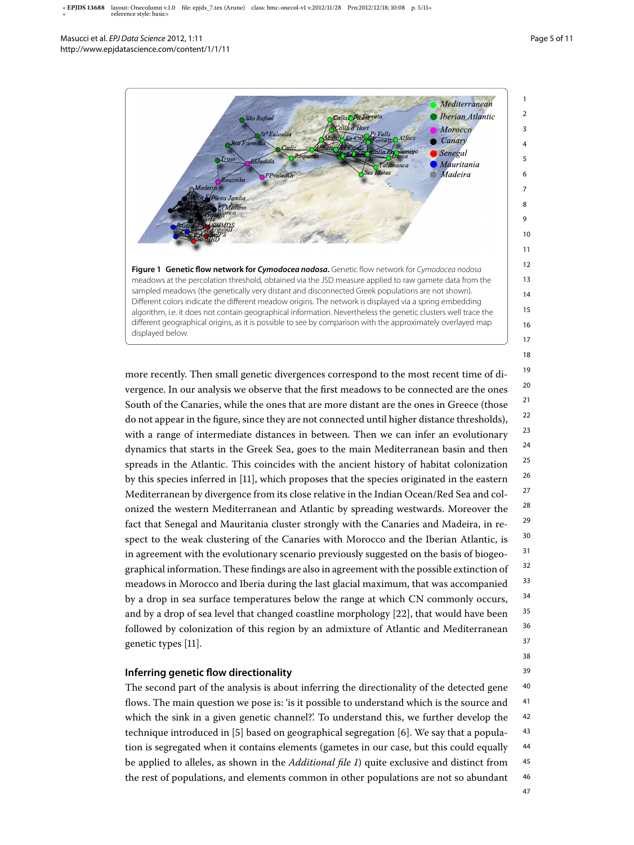#### Masucci et al. *EPJ Data Science* 2012, 1:11 **Page 5 of 11** Page 5 of 11 <http://www.epjdatascience.com/content/1/1/11>



<span id="page-4-0"></span>19 20 21 22 23 24 25 26 27 28 29 30 31 32 33 34 35 36 37 more recently. Then small genetic divergences correspond to the most recent time of divergence. In our analysis we observe that the first meadows to be connected are the ones South of the Canaries, while the ones that are more distant are the ones in Greece (those do not appear in the figure, since they are not connected until higher distance thresholds), with a range of intermediate distances in between. Then we can infer an evolutionary dynamics that starts in the Greek Sea, goes to the main Mediterranean basin and then spreads in the Atlantic. This coincides with the ancient history of habitat colonization by this species inferred in [\[](#page-10-10)11], which proposes that the species originated in the eastern Mediterranean by divergence from its close relative in the Indian Ocean/Red Sea and colonized the western Mediterranean and Atlantic by spreading westwards. Moreover the fact that Senegal and Mauritania cluster strongly with the Canaries and Madeira, in respect to the weak clustering of the Canaries with Morocco and the Iberian Atlantic, is in agreement with the evolutionary scenario previously suggested on the basis of biogeographical information. These findings are also in agreement with the possible extinction of meadows in Morocco and Iberia during the last glacial maximum, that was accompanied by a drop in sea surface temperatures below the range at which CN commonly occurs, and by a drop of sea level that changed coastline morphology  $[22]$  $[22]$ , that would have been followed by colonization of this region by an admixture of Atlantic and Mediterranean genetic types [\[](#page-10-10)11].

#### 38 39

#### **Inferring genetic flow directionality**

40 41 42 43 44 45 46 The second part of the analysis is about inferring the directionality of the detected gene flows. The main question we pose is: 'is it possible to understand which is the source and which the sink in a given genetic channel?'. To understand this, we further develop the technique introduced in [5[\]](#page-10-5) based on geographical segregation  $[6]$ . We say that a population is segregated when it contains elements (gametes in our case, but this could equally be applied to alleles, as shown in the *Additional file* ) quite exclusive and distinct from the rest of populations, and elements common in other populations are not so abundant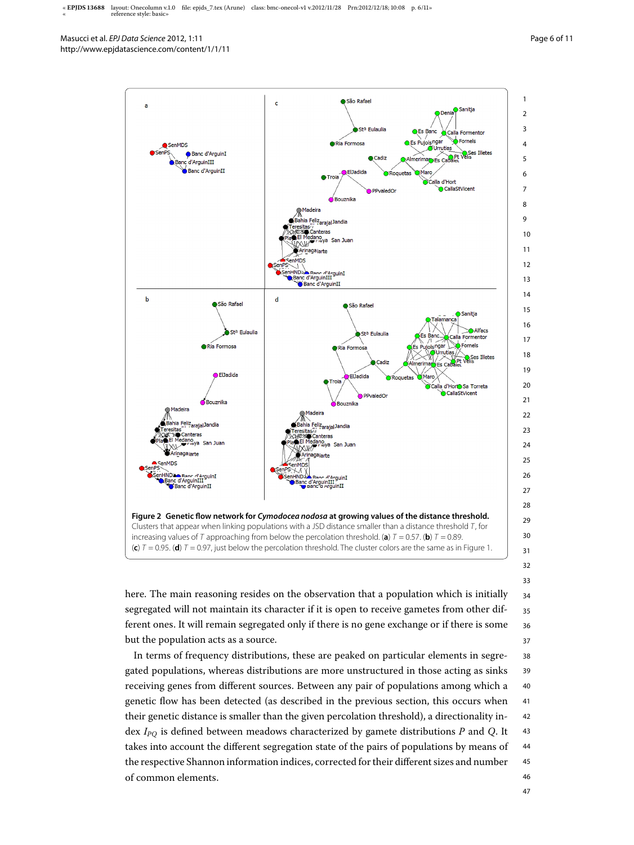#### Masucci et al. *EPJ Data Science* 2012, 1:11 **Page 6 of 11** Page 6 of 11 <http://www.epjdatascience.com/content/1/1/11>



<span id="page-5-0"></span>here. The main reasoning resides on the observation that a population which is initially segregated will not maintain its character if it is open to receive gametes from other different ones. It will remain segregated only if there is no gene exchange or if there is some but the population acts as a source.

 In terms of frequency distributions, these are peaked on particular elements in segregated populations, whereas distributions are more unstructured in those acting as sinks receiving genes from different sources. Between any pair of populations among which a genetic flow has been detected (as described in the previous section, this occurs when their genetic distance is smaller than the given percolation threshold), a directionality index *IPQ* is defined between meadows characterized by gamete distributions *P* and *Q*. It takes into account the different segregation state of the pairs of populations by means of the respective Shannon information indices, corrected for their different sizes and number of common elements.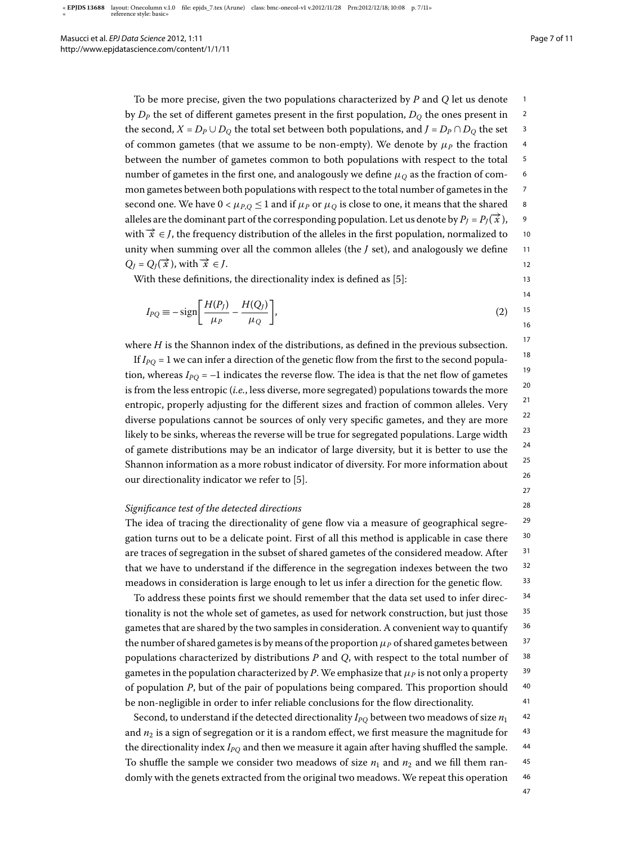1 2 3 4 5 6 7 8 9 10 11 12 To be more precise, given the two populations characterized by *P* and *Q* let us denote by  $D_p$  the set of different gametes present in the first population,  $D_Q$  the ones present in the second,  $X = D_P \cup D_Q$  the total set between both populations, and  $J = D_P \cap D_Q$  the set of common gametes (that we assume to be non-empty). We denote by  $\mu_p$  the fraction between the number of gametes common to both populations with respect to the total number of gametes in the first one, and analogously we define  $\mu<sub>O</sub>$  as the fraction of common gametes between both populations with respect to the total number of gametes in the second one. We have  $0 < \mu_{P,Q} \le 1$  and if  $\mu_P$  or  $\mu_Q$  is close to one, it means that the shared alleles are the dominant part of the corresponding population. Let us denote by  $P_J = P_J(\vec{x})$  , with  $\overrightarrow{x} \in J$ , the frequency distribution of the alleles in the first population, normalized to unity when summing over all the common alleles (the *J* set), and analogously we define  $Q_J = Q_J(\vec{x})$ , with  $\vec{x} \in J$ .

With these definitions, the directionality index is defined as [\[](#page-10-4)5]:

$$
I_{PQ} \equiv -\operatorname{sign}\left[\frac{H(P_J)}{\mu_P} - \frac{H(Q_J)}{\mu_Q}\right],\tag{2}
$$

where *H* is the Shannon index of the distributions, as defined in the previous subsection.

If  $I_{PO} = 1$  we can infer a direction of the genetic flow from the first to the second population, whereas  $I_{PO} = -1$  indicates the reverse flow. The idea is that the net flow of gametes is from the less entropic (*i.e.*, less diverse, more segregated) populations towards the more entropic, properly adjusting for the different sizes and fraction of common alleles. Very diverse populations cannot be sources of only very specific gametes, and they are more likely to be sinks, whereas the reverse will be true for segregated populations. Large width of gamete distributions may be an indicator of large diversity, but it is better to use the Shannon information as a more robust indicator of diversity. For more information about our directionality indicator we refer to [5[\]](#page-10-4).

#### *Significance test of the detected directions*

The idea of tracing the directionality of gene flow via a measure of geographical segregation turns out to be a delicate point. First of all this method is applicable in case there are traces of segregation in the subset of shared gametes of the considered meadow. After that we have to understand if the difference in the segregation indexes between the two meadows in consideration is large enough to let us infer a direction for the genetic flow.

34 35 36 37 38 39 40 41 To address these points first we should remember that the data set used to infer directionality is not the whole set of gametes, as used for network construction, but just those gametes that are shared by the two samples in consideration. A convenient way to quantify the number of shared gametes is by means of the proportion  $\mu_p$  of shared gametes between populations characterized by distributions *P* and *Q*, with respect to the total number of gametes in the population characterized by *P*. We emphasize that  $\mu$ <sup>*p*</sup> is not only a property of population *P*, but of the pair of populations being compared. This proportion should be non-negligible in order to infer reliable conclusions for the flow directionality.

42 43 44 45 46 Second, to understand if the detected directionality  $I_{PO}$  between two meadows of size  $n_1$ and  $n_2$  is a sign of segregation or it is a random effect, we first measure the magnitude for the directionality index *IPQ* and then we measure it again after having shuffled the sample. To shuffle the sample we consider two meadows of size  $n_1$  and  $n_2$  and we fill them randomly with the genets extracted from the original two meadows. We repeat this operation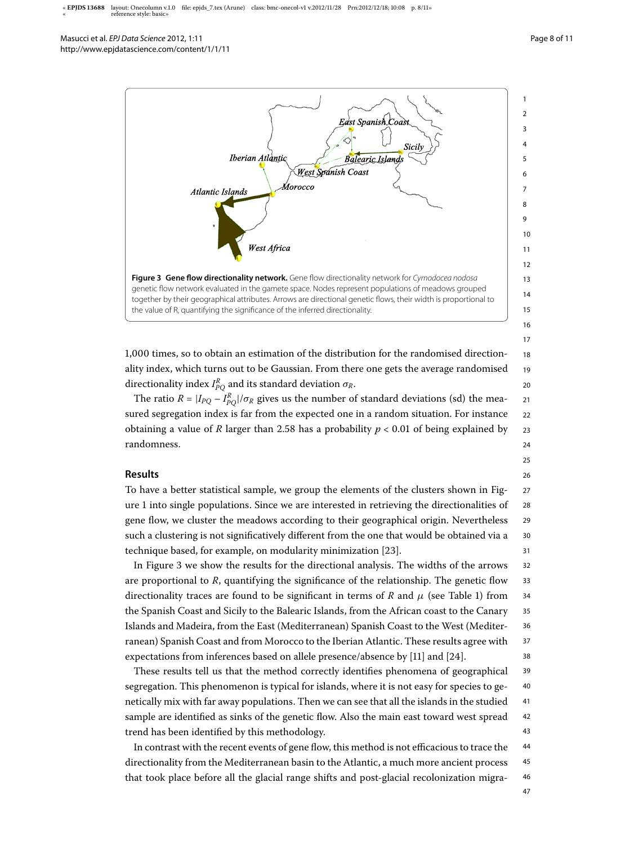#### Masucci et al. *EPJ Data Science* 2012, 1:11 **Page 8 of 11** Page 8 of 11 <http://www.epjdatascience.com/content/1/1/11>

<span id="page-7-0"></span>

1,000 times, so to obtain an estimation of the distribution for the randomised directionality index, which turns out to be Gaussian. From there one gets the average randomised directionality index  $I_{PQ}^R$  and its standard deviation  $\sigma_R$ .

The ratio  $R = |I_{PQ} - I_{PQ}^R|/\sigma_R$  gives us the number of standard deviations (sd) the measured segregation index is far from the expected one in a random situation. For instance obtaining a value of *R* larger than 2.58 has a probability  $p < 0.01$  of being explained by randomness.

#### **Results**

27 28 29 30 31 To have a better statistical sample, we group the elements of the clusters shown in Figure into single populations. Since we are interested in retrieving the directionalities of gene flow, we cluster the meadows according to their geographical origin. Nevertheless such a clustering is not significatively different from the one that would be obtained via a technique based, for example, on modularity minimization [23[\]](#page-10-22).

32 33 34 35 36 37 38 In Figure 3 we show the results for the directional analysis. The widths of the arrows are proportional to *R*, quantifying the significance of the relationship. The genetic flow directionality traces are found to be significant in terms of *R* and  $\mu$  (see Table 1[\)](#page-8-0) from the Spanish Coast and Sicily to the Balearic Islands, from the African coast to the Canary Islands and Madeira, from the East (Mediterranean) Spanish Coast to the West (Mediterranean) Spanish Coast and from Morocco to the Iberian Atlantic. These results agree with expectations from inferences based on allele presence/absence by [\[](#page-10-10)11] and [24].

39 40 41 42 43 These results tell us that the method correctly identifies phenomena of geographical segregation. This phenomenon is typical for islands, where it is not easy for species to genetically mix with far away populations. Then we can see that all the islands in the studied sample are identified as sinks of the genetic flow. Also the main east toward west spread trend has been identified by this methodology.

44 45 46 In contrast with the recent events of gene flow, this method is not efficacious to trace the directionality from the Mediterranean basin to the Atlantic, a much more ancient process that took place before all the glacial range shifts and post-glacial recolonization migra-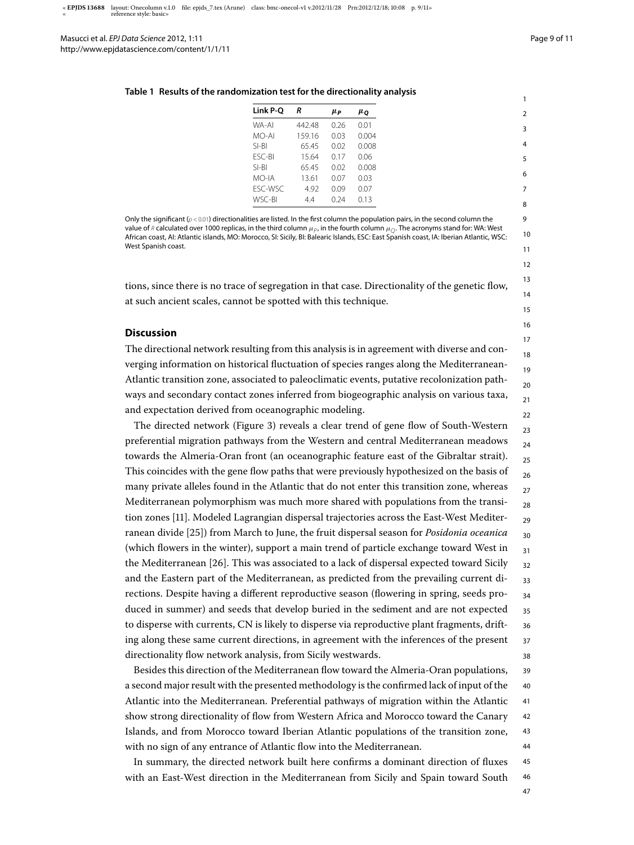#### <span id="page-8-0"></span>**Table 1 Results of the randomization test for the directionality analysis**

| Link P-O | R      | μp   | μo    |
|----------|--------|------|-------|
| WA-AI    | 442.48 | 0.26 | 0.01  |
| MO-AI    | 159.16 | 0.03 | 0.004 |
| $SI-BI$  | 65.45  | 0.02 | 0.008 |
| ESC-BI   | 15.64  | 0.17 | 0.06  |
| $SI-BI$  | 65.45  | 0.02 | 0.008 |
| MO-IA    | 13.61  | 0.07 | 0.03  |
| ESC-WSC  | 4.92   | 0.09 | 0.07  |
| WSC-BI   | 4.4    | 0.24 | 0.13  |

Only the significant ( $p < 0.01$ ) directionalities are listed. In the first column the population pairs, in the second column the value of R calculated over 1000 replicas, in the third column *μ*<sub>P</sub>, in the fourth column *μ*<sub>O</sub>. The acronyms stand for: WA: West African coast, AI: Atlantic islands, MO: Morocco, SI: Sicily, BI: Balearic Islands, ESC: East Spanish coast, IA: Iberian Atlantic, WSC: West Spanish coast.

tions, since there is no trace of segregation in that case. Directionality of the genetic flow, at such ancient scales, cannot be spotted with this technique.

#### **Discussion**

The directional network resulting from this analysis is in agreement with diverse and converging information on historical fluctuation of species ranges along the Mediterranean-Atlantic transition zone, associated to paleoclimatic events, putative recolonization pathways and secondary contact zones inferred from biogeographic analysis on various taxa, and expectation derived from oceanographic modeling.

 $23$ 24  $25$ 26 27 28 29 30 31 32 33 34 35 36 37 38 The directed network (Figure 3) reveals a clear trend of gene flow of South-Western preferential migration pathways from the Western and central Mediterranean meadows towards the Almeria-Oran front (an oceanographic feature east of the Gibraltar strait). This coincides with the gene flow paths that were previously hypothesized on the basis of many private alleles found in the Atlantic that do not enter this transition zone, whereas Mediterranean polymorphism was much more shared with populations from the transi-tion zones [\[](#page-10-10)11]. Modeled Lagrangian dispersal trajectories across the East-West Mediterranean divide [\[](#page-10-24)]) from March to June, the fruit dispersal season for *Posidonia oceanica* (which flowers in the winter), support a main trend of particle exchange toward West in the Mediterranean [26]. This was associated to a lack of dispersal expected toward Sicily and the Eastern part of the Mediterranean, as predicted from the prevailing current directions. Despite having a different reproductive season (flowering in spring, seeds produced in summer) and seeds that develop buried in the sediment and are not expected to disperse with currents, CN is likely to disperse via reproductive plant fragments, drifting along these same current directions, in agreement with the inferences of the present directionality flow network analysis, from Sicily westwards.

39 40 41 42 43 44 Besides this direction of the Mediterranean flow toward the Almeria-Oran populations, a second major result with the presented methodology is the confirmed lack of input of the Atlantic into the Mediterranean. Preferential pathways of migration within the Atlantic show strong directionality of flow from Western Africa and Morocco toward the Canary Islands, and from Morocco toward Iberian Atlantic populations of the transition zone, with no sign of any entrance of Atlantic flow into the Mediterranean.

45 46 In summary, the directed network built here confirms a dominant direction of fluxes with an East-West direction in the Mediterranean from Sicily and Spain toward South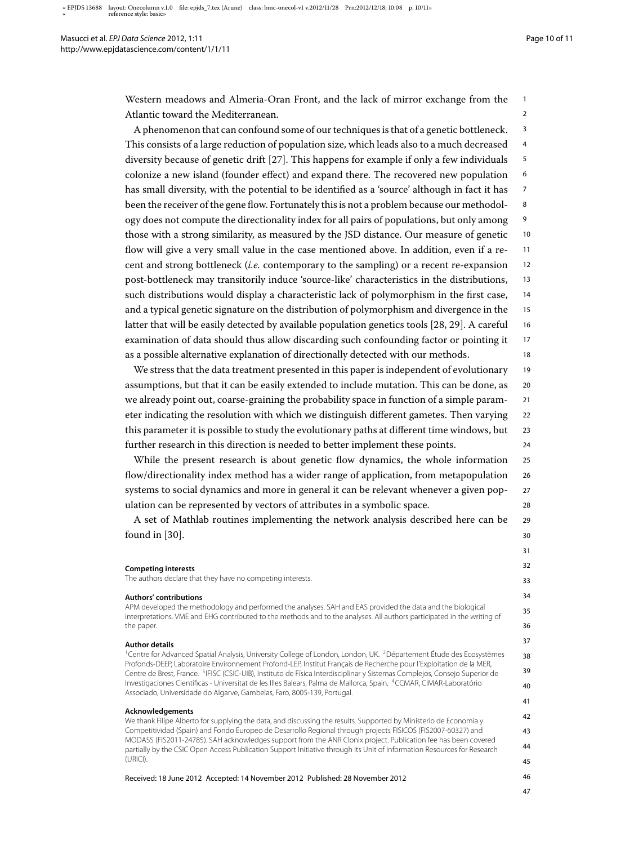1  $\overline{2}$ 

Western meadows and Almeria-Oran Front, and the lack of mirror exchange from the Atlantic toward the Mediterranean.

3 4 5 6 7 8 9 10 11 12 13 14 15 16 17 18 A phenomenon that can confound some of our techniques is that of a genetic bottleneck. This consists of a large reduction of population size, which leads also to a much decreased diversity because of genetic drift  $[27]$  $[27]$ . This happens for example if only a few individuals colonize a new island (founder effect) and expand there. The recovered new population has small diversity, with the potential to be identified as a 'source' although in fact it has been the receiver of the gene flow. Fortunately this is not a problem because our methodology does not compute the directionality index for all pairs of populations, but only among those with a strong similarity, as measured by the JSD distance. Our measure of genetic flow will give a very small value in the case mentioned above. In addition, even if a recent and strong bottleneck (*i.e.* contemporary to the sampling) or a recent re-expansion post-bottleneck may transitorily induce 'source-like' characteristics in the distributions, such distributions would display a characteristic lack of polymorphism in the first case, and a typical genetic signature on the distribution of polymorphism and divergence in the latter that will be easily detected by available population genetics tools [28[,](#page-10-27) 29]. A careful examination of data should thus allow discarding such confounding factor or pointing it as a possible alternative explanation of directionally detected with our methods.

19 20 21 22 23 24 We stress that the data treatment presented in this paper is independent of evolutionary assumptions, but that it can be easily extended to include mutation. This can be done, as we already point out, coarse-graining the probability space in function of a simple parameter indicating the resolution with which we distinguish different gametes. Then varying this parameter it is possible to study the evolutionary paths at different time windows, but further research in this direction is needed to better implement these points.

25 26 27 28 While the present research is about genetic flow dynamics, the whole information flow/directionality index method has a wider range of application, from metapopulation systems to social dynamics and more in general it can be relevant whenever a given population can be represented by vectors of attributes in a symbolic space.

<span id="page-9-3"></span><span id="page-9-1"></span>29 30 31 A set of Mathlab routines implementing the network analysis described here can be found in  $[30]$ .

<span id="page-9-2"></span><span id="page-9-0"></span>**Competing interests** The authors declare that they have no competing interests. **Authors' contributions** APM developed the methodology and performed the analyses. SAH and EAS provided the data and the biological interpretations. VME and EHG contributed to the methods and to the analyses. All authors participated in the writing of the paper. **Author details**

<sup>1</sup>Centre for Advanced Spatial Analysis, University College of London, London, UK. <sup>2</sup>Département Étude des Ecosystèmes Profonds-DEEP, Laboratoire Environnement Profond-LEP, Institut Français de Recherche pour l'Exploitation de la MER, Centre de Brest, France. 3IFISC (CSIC-UIB), Instituto de Física Interdisciplinar y Sistemas Complejos, Consejo Superior de Investigaciones Científicas - Universitat de les Illes Balears, Palma de Mallorca, Spain. <sup>4</sup>CCMAR, CIMAR-Laboratório Associado, Universidade do Algarve, Gambelas, Faro, 8005-139, Portugal.

#### **Acknowledgements**

We thank Filipe Alberto for supplying the data, and discussing the results. Supported by Ministerio de Economía y Competitividad (Spain) and Fondo Europeo de Desarrollo Regional through projects FISICOS (FIS2007-60327) and MODASS (FIS2011-24785). SAH acknowledges support from the ANR Clonix project. Publication fee has been covered partially by the CSIC Open Access Publication Support Initiative through its Unit of Information Resources for Research (URICI).

Received: 18 June 2012 Accepted: 14 November 2012 Published: 28 November 2012